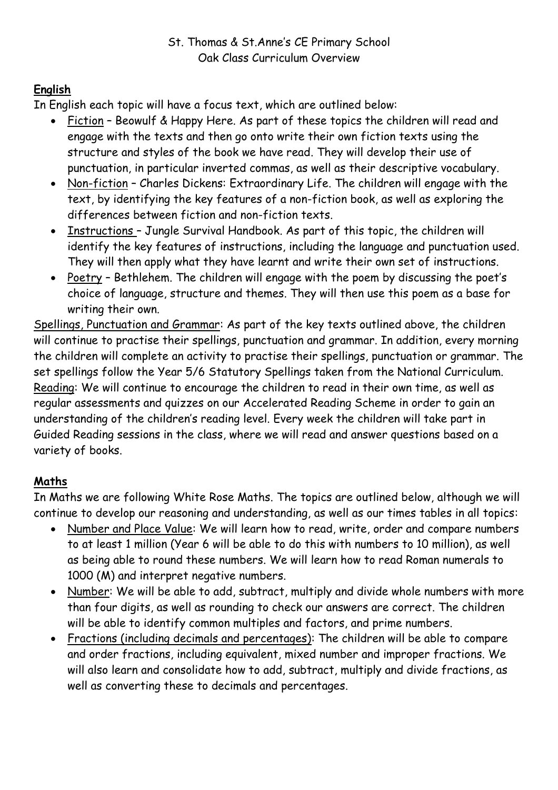# **English**

In English each topic will have a focus text, which are outlined below:

- Fiction Beowulf & Happy Here. As part of these topics the children will read and engage with the texts and then go onto write their own fiction texts using the structure and styles of the book we have read. They will develop their use of punctuation, in particular inverted commas, as well as their descriptive vocabulary.
- Non-fiction Charles Dickens: Extraordinary Life. The children will engage with the text, by identifying the key features of a non-fiction book, as well as exploring the differences between fiction and non-fiction texts.
- Instructions Jungle Survival Handbook. As part of this topic, the children will identify the key features of instructions, including the language and punctuation used. They will then apply what they have learnt and write their own set of instructions.
- Poetry Bethlehem. The children will engage with the poem by discussing the poet's choice of language, structure and themes. They will then use this poem as a base for writing their own.

Spellings, Punctuation and Grammar: As part of the key texts outlined above, the children will continue to practise their spellings, punctuation and grammar. In addition, every morning the children will complete an activity to practise their spellings, punctuation or grammar. The set spellings follow the Year 5/6 Statutory Spellings taken from the National Curriculum. Reading: We will continue to encourage the children to read in their own time, as well as regular assessments and quizzes on our Accelerated Reading Scheme in order to gain an understanding of the children's reading level. Every week the children will take part in Guided Reading sessions in the class, where we will read and answer questions based on a variety of books.

## **Maths**

In Maths we are following White Rose Maths. The topics are outlined below, although we will continue to develop our reasoning and understanding, as well as our times tables in all topics:

- Number and Place Value: We will learn how to read, write, order and compare numbers to at least 1 million (Year 6 will be able to do this with numbers to 10 million), as well as being able to round these numbers. We will learn how to read Roman numerals to 1000 (M) and interpret negative numbers.
- Number: We will be able to add, subtract, multiply and divide whole numbers with more than four digits, as well as rounding to check our answers are correct. The children will be able to identify common multiples and factors, and prime numbers.
- Fractions (including decimals and percentages): The children will be able to compare and order fractions, including equivalent, mixed number and improper fractions. We will also learn and consolidate how to add, subtract, multiply and divide fractions, as well as converting these to decimals and percentages.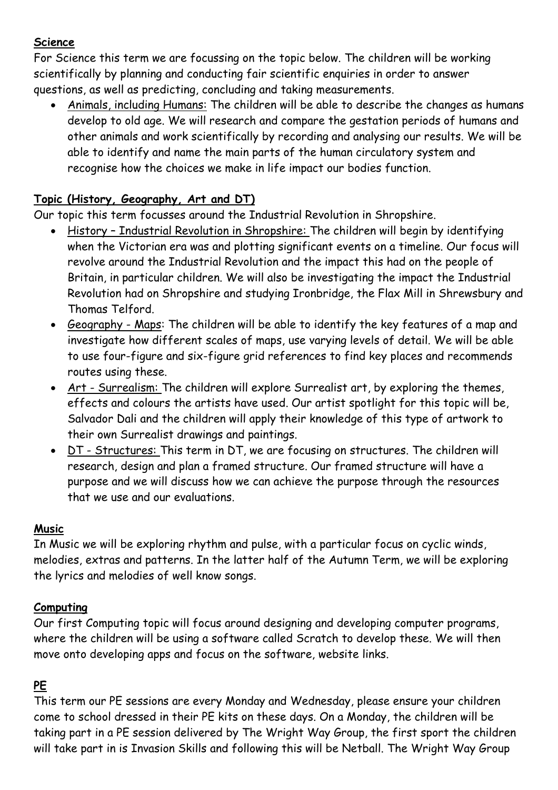#### **Science**

For Science this term we are focussing on the topic below. The children will be working scientifically by planning and conducting fair scientific enquiries in order to answer questions, as well as predicting, concluding and taking measurements.

• Animals, including Humans: The children will be able to describe the changes as humans develop to old age. We will research and compare the gestation periods of humans and other animals and work scientifically by recording and analysing our results. We will be able to identify and name the main parts of the human circulatory system and recognise how the choices we make in life impact our bodies function.

## **Topic (History, Geography, Art and DT)**

Our topic this term focusses around the Industrial Revolution in Shropshire.

- History Industrial Revolution in Shropshire: The children will begin by identifying when the Victorian era was and plotting significant events on a timeline. Our focus will revolve around the Industrial Revolution and the impact this had on the people of Britain, in particular children. We will also be investigating the impact the Industrial Revolution had on Shropshire and studying Ironbridge, the Flax Mill in Shrewsbury and Thomas Telford.
- Geography Maps: The children will be able to identify the key features of a map and investigate how different scales of maps, use varying levels of detail. We will be able to use four-figure and six-figure grid references to find key places and recommends routes using these.
- Art Surrealism: The children will explore Surrealist art, by exploring the themes, effects and colours the artists have used. Our artist spotlight for this topic will be, Salvador Dali and the children will apply their knowledge of this type of artwork to their own Surrealist drawings and paintings.
- DT Structures: This term in DT, we are focusing on structures. The children will research, design and plan a framed structure. Our framed structure will have a purpose and we will discuss how we can achieve the purpose through the resources that we use and our evaluations.

### **Music**

In Music we will be exploring rhythm and pulse, with a particular focus on cyclic winds, melodies, extras and patterns. In the latter half of the Autumn Term, we will be exploring the lyrics and melodies of well know songs.

### **Computing**

Our first Computing topic will focus around designing and developing computer programs, where the children will be using a software called Scratch to develop these. We will then move onto developing apps and focus on the software, website links.

## **PE**

This term our PE sessions are every Monday and Wednesday, please ensure your children come to school dressed in their PE kits on these days. On a Monday, the children will be taking part in a PE session delivered by The Wright Way Group, the first sport the children will take part in is Invasion Skills and following this will be Netball. The Wright Way Group